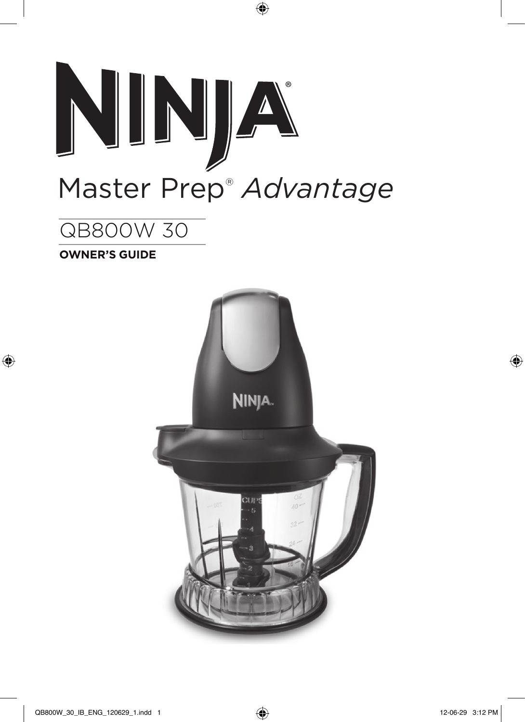

 $\bigoplus$ 

# QB800W 30

**OWNER'S GUIDE**

 $\bigoplus$ 

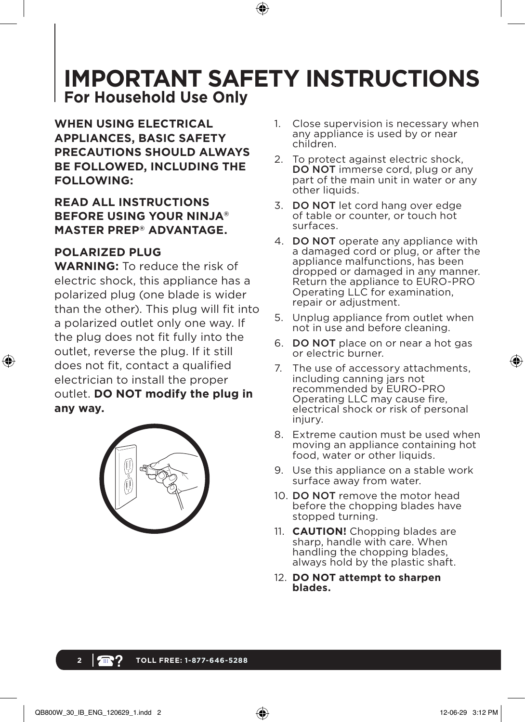# **IMPORTANT SAFETY INSTRUCTIONS For Household Use Only**

**WHEN USING ELECTRICAL APPLIANCES, BASIC SAFETY PRECAUTIONS SHOULD ALWAYS BE FOLLOWED, INCLUDING THE FOLLOWING:**

### **READ ALL INSTRUCTIONS BEFORE USING YOUR NINJA® MASTER PREP® ADVANTAGE.**

### **POLARIZED PLUG**

↔

**WARNING:** To reduce the risk of electric shock, this appliance has a polarized plug (one blade is wider than the other). This plug will fit into a polarized outlet only one way. If the plug does not fit fully into the outlet, reverse the plug. If it still does not fit, contact a qualified electrician to install the proper outlet. **DO NOT modify the plug in any way.**



- 1. Close supervision is necessary when any appliance is used by or near children.
- 2. To protect against electric shock, DO NOT immerse cord, plug or any part of the main unit in water or any other liquids.
- 3. DO NOT let cord hang over edge of table or counter, or touch hot surfaces.
- 4. DO NOT operate any appliance with a damaged cord or plug, or after the appliance malfunctions, has been dropped or damaged in any manner. Return the appliance to EURO-PRO Operating LLC for examination, repair or adjustment.
- 5. Unplug appliance from outlet when not in use and before cleaning.
- 6. DO NOT place on or near a hot gas or electric burner.
- 7. The use of accessory attachments, including canning jars not recommended by EURO-PRO Operating LLC may cause fire, electrical shock or risk of personal injury.
- 8. Extreme caution must be used when moving an appliance containing hot food, water or other liquids.
- 9. Use this appliance on a stable work surface away from water.
- 10. DO NOT remove the motor head before the chopping blades have stopped turning.
- 11. **CAUTION!** Chopping blades are sharp, handle with care. When handling the chopping blades, always hold by the plastic shaft.
- 12. **DO NOT attempt to sharpen blades.**

### **2 TOLL FREE: 1-877-646-5288**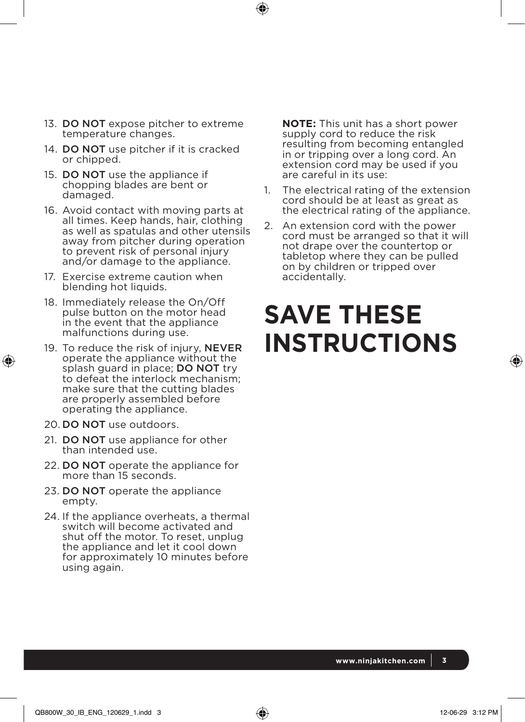- 13. DO NOT expose pitcher to extreme temperature changes.
- 14. DO NOT use pitcher if it is cracked or chipped.
- 15. DO NOT use the appliance if chopping blades are bent or damaged.
- 16. Avoid contact with moving parts at all times. Keep hands, hair, clothing as well as spatulas and other utensils away from pitcher during operation to prevent risk of personal injury and/or damage to the appliance.
- 17. Exercise extreme caution when blending hot liquids.
- 18. Immediately release the On/Off pulse button on the motor head in the event that the appliance malfunctions during use.
- 19. To reduce the risk of injury, NEVER operate the appliance without the splash guard in place; **DO NOT** try to defeat the interlock mechanism; make sure that the cutting blades are properly assembled before operating the appliance.
- 20. DO NOT use outdoors.

↔

- 21. DO NOT use appliance for other than intended use.
- 22. DO NOT operate the appliance for more than 15 seconds.
- 23. DO NOT operate the appliance empty.
- 24. If the appliance overheats, a thermal switch will become activated and shut off the motor. To reset, unplug the appliance and let it cool down for approximately 10 minutes before using again.

 **NOTE:** This unit has a short power supply cord to reduce the risk resulting from becoming entangled in or tripping over a long cord. An extension cord may be used if you are careful in its use:

 $\mathbf \Theta$ 

- The electrical rating of the extension cord should be at least as great as the electrical rating of the appliance.
- 2. An extension cord with the power cord must be arranged so that it will not drape over the countertop or tabletop where they can be pulled on by children or tripped over accidentally.

# **SAVE THESE INSTRUCTIONS**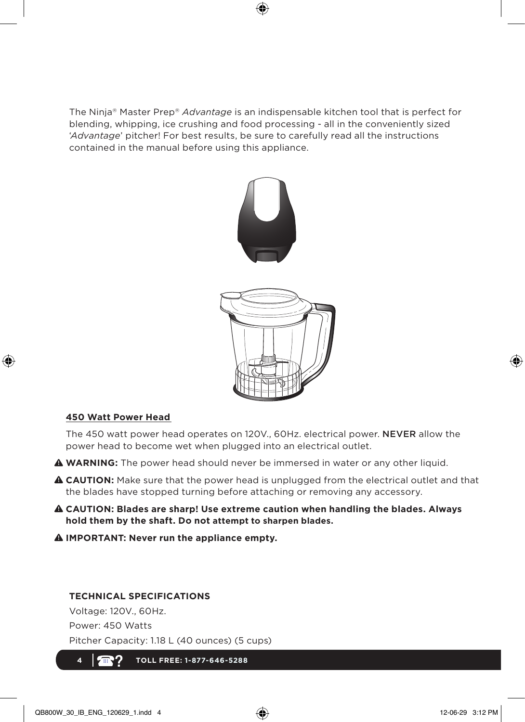The Ninja® Master Prep® *Advantage* is an indispensable kitchen tool that is perfect for blending, whipping, ice crushing and food processing - all in the conveniently sized '*Advantage*' pitcher! For best results, be sure to carefully read all the instructions contained in the manual before using this appliance.

 $\bigcirc$ 



#### **450 Watt Power Head**

⊕

 The 450 watt power head operates on 120V., 60Hz. electrical power. NEVER allow the power head to become wet when plugged into an electrical outlet.

**WARNING:** The power head should never be immersed in water or any other liquid.

- **CAUTION:** Make sure that the power head is unplugged from the electrical outlet and that the blades have stopped turning before attaching or removing any accessory.
- **CAUTION: Blades are sharp! Use extreme caution when handling the blades. Always hold them by the shaft. Do not attempt to sharpen blades.**
- **IMPORTANT: Never run the appliance empty.**

#### **TECHNICAL SPECIFICATIONS**

Voltage: 120V., 60Hz. Power: 450 Watts Pitcher Capacity: 1.18 L (40 ounces) (5 cups)

**4 TOLL FREE: 1-877-646-5288**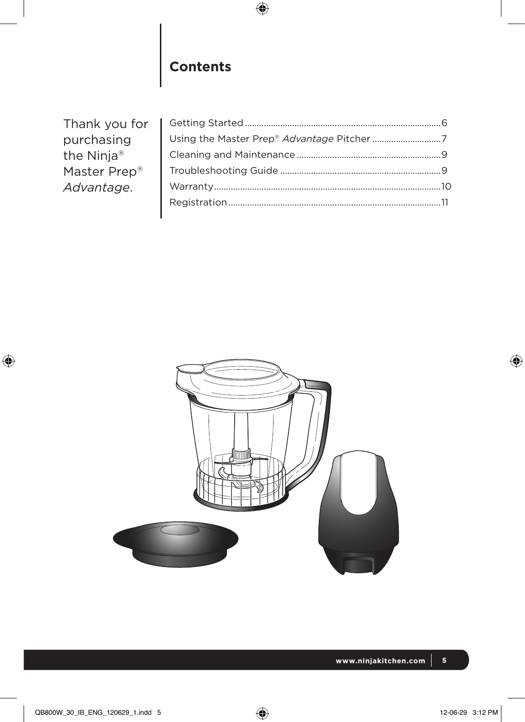

# **Contents**

| Thank you for |  |
|---------------|--|
| purchasing    |  |
| the Ninja®    |  |
| Master Prep®  |  |
| Advantage.    |  |
|               |  |
|               |  |



 $\bigoplus$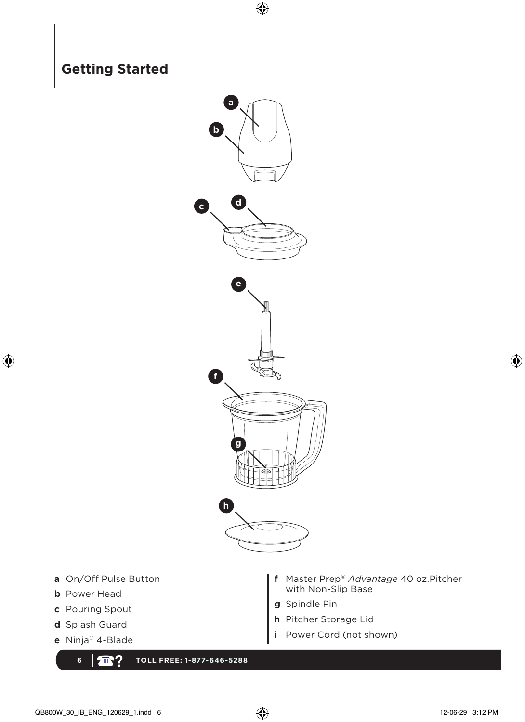

 $\bigoplus$ 

- **a** On/Off Pulse Button
- **b** Power Head

 $\bigoplus$ 

- **c** Pouring Spout
- **d** Splash Guard
- **e** Ninja® 4-Blade
	- **6 TOLL FREE: 1-877-646-5288**
- **f** Master Prep® *Advantage* 40 oz.Pitcher with Non-Slip Base
- **g** Spindle Pin
- **h** Pitcher Storage Lid
- **i** Power Cord (not shown)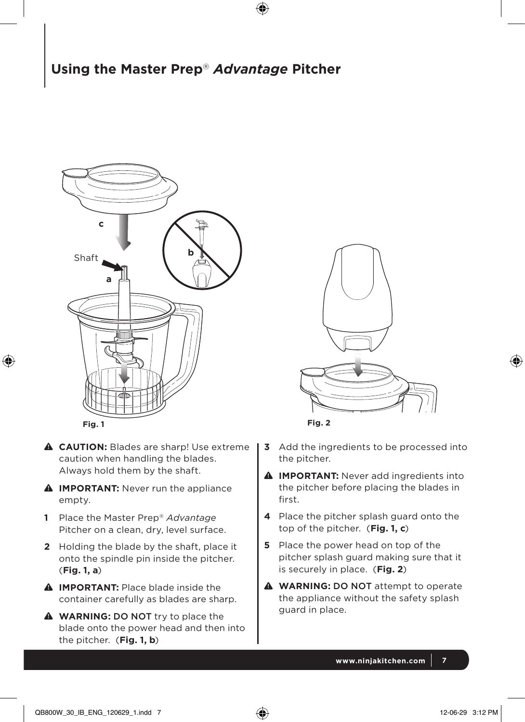## **Using the Master Prep**® *Advantage* **Pitcher**

⊕



⊕

- **CAUTION:** Blades are sharp! Use extreme caution when handling the blades. Always hold them by the shaft.
- **A** IMPORTANT: Never run the appliance empty.
- **1** Place the Master Prep® *Advantage* Pitcher on a clean, dry, level surface.
- **2** Holding the blade by the shaft, place it onto the spindle pin inside the pitcher. (**Fig. 1, a**)
- **A** IMPORTANT: Place blade inside the container carefully as blades are sharp.
- **WARNING:** DO NOT try to place the blade onto the power head and then into the pitcher. (**Fig. 1, b**)



**Fig. 2**

- **3** Add the ingredients to be processed into the pitcher.
- **A** IMPORTANT: Never add ingredients into the pitcher before placing the blades in first.
- **4** Place the pitcher splash guard onto the top of the pitcher. (**Fig. 1, c**)
- **5** Place the power head on top of the pitcher splash guard making sure that it is securely in place. (**Fig. 2**)
- **A** WARNING: DO NOT attempt to operate the appliance without the safety splash guard in place.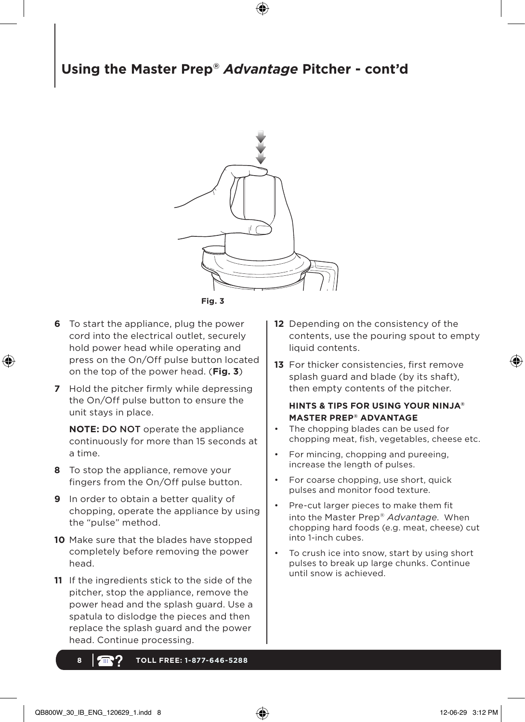# **Using the Master Prep®** *Advantage* **Pitcher - cont'd**

⊕



- **Fig. 3**
- **6** To start the appliance, plug the power cord into the electrical outlet, securely hold power head while operating and press on the On/Off pulse button located on the top of the power head. (**Fig. 3**)

↔

**7** Hold the pitcher firmly while depressing the On/Off pulse button to ensure the unit stays in place.

**NOTE:** DO NOT operate the appliance continuously for more than 15 seconds at a time.

- **8** To stop the appliance, remove your fingers from the On/Off pulse button.
- **9** In order to obtain a better quality of chopping, operate the appliance by using the "pulse" method.
- **10** Make sure that the blades have stopped completely before removing the power head.
- **11** If the ingredients stick to the side of the pitcher, stop the appliance, remove the power head and the splash guard. Use a spatula to dislodge the pieces and then replace the splash guard and the power head. Continue processing.
	- **8 TOLL FREE: 1-877-646-5288**
- **12** Depending on the consistency of the contents, use the pouring spout to empty liquid contents.
- **13** For thicker consistencies, first remove splash guard and blade (by its shaft), then empty contents of the pitcher.

#### **HINTS & TIPS FOR USING YOUR NINJA® MASTER PREP® ADVANTAGE**

- The chopping blades can be used for chopping meat, fish, vegetables, cheese etc.
- For mincing, chopping and pureeing, increase the length of pulses.
- For coarse chopping, use short, quick pulses and monitor food texture.
- Pre-cut larger pieces to make them fit into the Master Prep® *Advantage*. When chopping hard foods (e.g. meat, cheese) cut into 1-inch cubes.
- To crush ice into snow, start by using short pulses to break up large chunks. Continue until snow is achieved.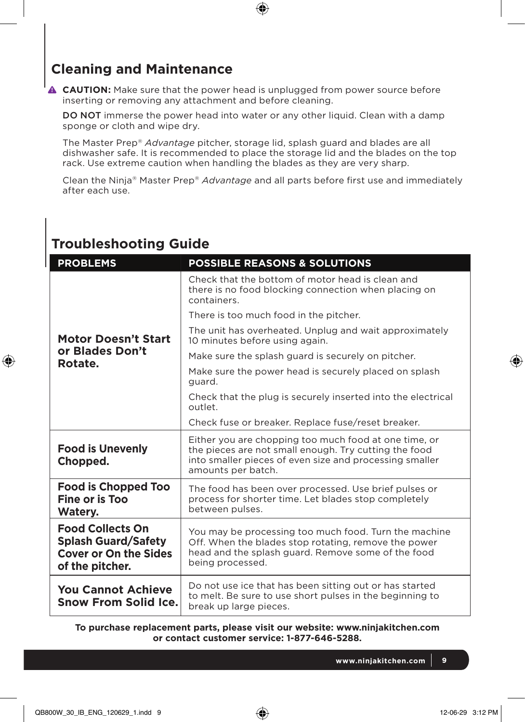## **Cleaning and Maintenance**

**Troubleshooting Guide**

⊕

**A CAUTION:** Make sure that the power head is unplugged from power source before inserting or removing any attachment and before cleaning.

 $\bigoplus$ 

DO NOT immerse the power head into water or any other liquid. Clean with a damp sponge or cloth and wipe dry.

The Master Prep® *Advantage* pitcher, storage lid, splash guard and blades are all dishwasher safe. It is recommended to place the storage lid and the blades on the top rack. Use extreme caution when handling the blades as they are very sharp.

Clean the Ninja® Master Prep® *Advantage* and all parts before first use and immediately after each use.

| <b>PROBLEMS</b>                                                                                          | <b>POSSIBLE REASONS &amp; SOLUTIONS</b>                                                                                                                                                         |  |  |  |
|----------------------------------------------------------------------------------------------------------|-------------------------------------------------------------------------------------------------------------------------------------------------------------------------------------------------|--|--|--|
|                                                                                                          | Check that the bottom of motor head is clean and<br>there is no food blocking connection when placing on<br>containers.                                                                         |  |  |  |
|                                                                                                          | There is too much food in the pitcher.                                                                                                                                                          |  |  |  |
| <b>Motor Doesn't Start</b><br>or Blades Don't<br>Rotate.                                                 | The unit has overheated. Unplug and wait approximately<br>10 minutes before using again.                                                                                                        |  |  |  |
|                                                                                                          | Make sure the splash guard is securely on pitcher.                                                                                                                                              |  |  |  |
|                                                                                                          | Make sure the power head is securely placed on splash<br>quard.                                                                                                                                 |  |  |  |
|                                                                                                          | Check that the plug is securely inserted into the electrical<br>outlet.                                                                                                                         |  |  |  |
|                                                                                                          | Check fuse or breaker. Replace fuse/reset breaker.                                                                                                                                              |  |  |  |
| <b>Food is Unevenly</b><br>Chopped.                                                                      | Either you are chopping too much food at one time, or<br>the pieces are not small enough. Try cutting the food<br>into smaller pieces of even size and processing smaller<br>amounts per batch. |  |  |  |
| <b>Food is Chopped Too</b><br>Fine or is Too<br>Watery.                                                  | The food has been over processed. Use brief pulses or<br>process for shorter time. Let blades stop completely<br>between pulses.                                                                |  |  |  |
| <b>Food Collects On</b><br><b>Splash Guard/Safety</b><br><b>Cover or On the Sides</b><br>of the pitcher. | You may be processing too much food. Turn the machine<br>Off. When the blades stop rotating, remove the power<br>head and the splash guard. Remove some of the food<br>being processed.         |  |  |  |
| <b>You Cannot Achieve</b><br><b>Snow From Solid Ice.</b>                                                 | Do not use ice that has been sitting out or has started<br>to melt. Be sure to use short pulses in the beginning to<br>break up large pieces.                                                   |  |  |  |

**To purchase replacement parts, please visit our website: www.ninjakitchen.com or contact customer service: 1-877-646-5288.**

**www.ninjakitchen.com 9**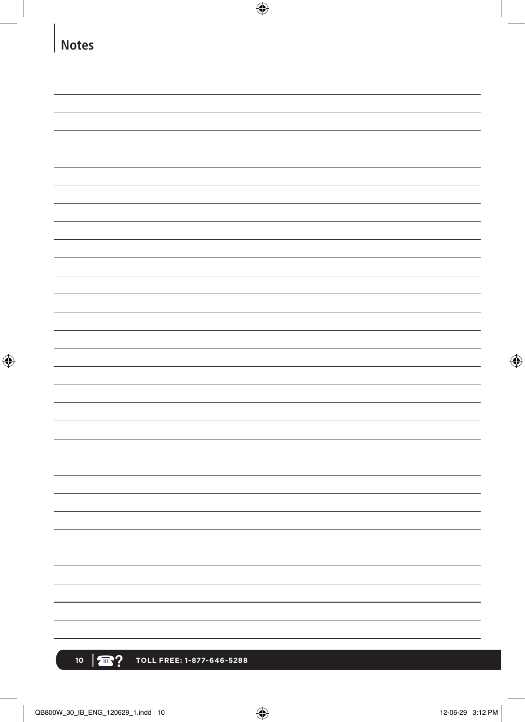| <b>Notes</b> |  |  |  |
|--------------|--|--|--|
|              |  |  |  |
|              |  |  |  |
|              |  |  |  |
|              |  |  |  |
|              |  |  |  |
|              |  |  |  |
|              |  |  |  |
|              |  |  |  |
|              |  |  |  |
|              |  |  |  |
|              |  |  |  |
|              |  |  |  |
|              |  |  |  |
|              |  |  |  |
|              |  |  |  |
|              |  |  |  |
|              |  |  |  |
|              |  |  |  |
|              |  |  |  |
|              |  |  |  |
|              |  |  |  |
|              |  |  |  |
|              |  |  |  |
|              |  |  |  |
|              |  |  |  |
|              |  |  |  |
|              |  |  |  |
|              |  |  |  |
|              |  |  |  |
|              |  |  |  |
|              |  |  |  |
|              |  |  |  |
|              |  |  |  |
|              |  |  |  |
|              |  |  |  |
|              |  |  |  |
|              |  |  |  |

 $\overline{\phantom{a}}$ 

 $\bigoplus$ 

 $\overline{\phantom{a}}$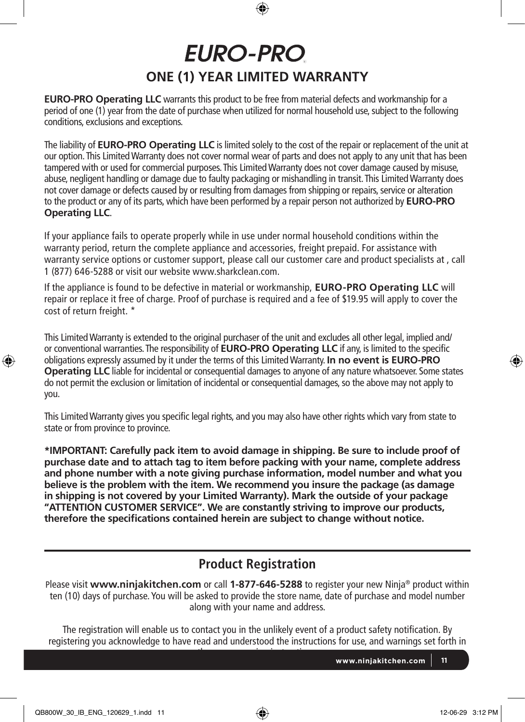# **EURO-PRO ONE (1) YEAR LIMITED WARRANTY**

**EURO-PRO Operating LLC** warrants this product to be free from material defects and workmanship for a period of one (1) year from the date of purchase when utilized for normal household use, subject to the following conditions, exclusions and exceptions.

The liability of **EURO-PRO Operating LLC** is limited solely to the cost of the repair or replacement of the unit at our option. This Limited Warranty does not cover normal wear of parts and does not apply to any unit that has been tampered with or used for commercial purposes. This Limited Warranty does not cover damage caused by misuse, abuse, negligent handling or damage due to faulty packaging or mishandling in transit. This Limited Warranty does not cover damage or defects caused by or resulting from damages from shipping or repairs, service or alteration to the product or any of its parts, which have been performed by a repair person not authorized by **EURO-PRO Operating LLC**.

If your appliance fails to operate properly while in use under normal household conditions within the warranty period, return the complete appliance and accessories, freight prepaid. For assistance with warranty service options or customer support, please call our customer care and product specialists at , call 1 (877) 646-5288 or visit our website www.sharkclean.com.

If the appliance is found to be defective in material or workmanship, **EURO-PRO Operating LLC** will repair or replace it free of charge. Proof of purchase is required and a fee of \$19.95 will apply to cover the cost of return freight. \*

This Limited Warranty is extended to the original purchaser of the unit and excludes all other legal, implied and/ or conventional warranties. The responsibility of **EURO-PRO Operating LLC** if any, is limited to the specific obligations expressly assumed by it under the terms of this Limited Warranty. **In no event is EURO-PRO Operating LLC** liable for incidental or consequential damages to anyone of any nature whatsoever. Some states do not permit the exclusion or limitation of incidental or consequential damages, so the above may not apply to you.

This Limited Warranty gives you specific legal rights, and you may also have other rights which vary from state to state or from province to province.

**\*IMPORTANT: Carefully pack item to avoid damage in shipping. Be sure to include proof of purchase date and to attach tag to item before packing with your name, complete address and phone number with a note giving purchase information, model number and what you believe is the problem with the item. We recommend you insure the package (as damage in shipping is not covered by your Limited Warranty). Mark the outside of your package "ATTENTION CUSTOMER SERVICE". We are constantly striving to improve our products, therefore the specifications contained herein are subject to change without notice.**

## **Product Registration**

Please visit **www.ninjakitchen.com** or call **1-877-646-5288** to register your new Ninja® product within ten (10) days of purchase. You will be asked to provide the store name, date of purchase and model number along with your name and address.

The registration will enable us to contact you in the unlikely event of a product safety notification. By registering you acknowledge to have read and understood the instructions for use, and warnings set forth in the accompanying instructions.

**www.ninjakitchen.com 11**

↔